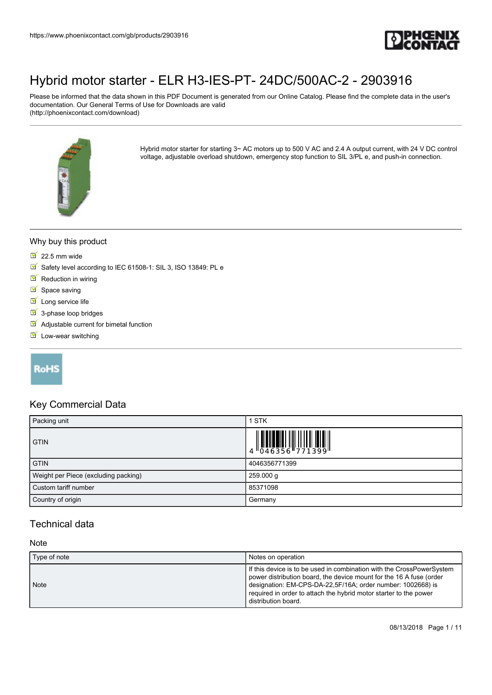

Please be informed that the data shown in this PDF Document is generated from our Online Catalog. Please find the complete data in the user's documentation. Our General Terms of Use for Downloads are valid (http://phoenixcontact.com/download)



Hybrid motor starter for starting 3~ AC motors up to 500 V AC and 2.4 A output current, with 24 V DC control voltage, adjustable overload shutdown, emergency stop function to SIL 3/PL e, and push-in connection.

#### Why buy this product

- $22.5$  mm wide
- Safety level according to IEC 61508-1: SIL 3, ISO 13849: PL e
- $\blacksquare$  Reduction in wiring
- $\blacksquare$  Space saving
- $\blacksquare$  Long service life
- $\overline{\mathsf{S}}$  3-phase loop bridges
- $\blacksquare$  Adjustable current for bimetal function
- $\blacksquare$  Low-wear switching

#### **RoHS**

#### Key Commercial Data

| Packing unit                         | 1 STK         |
|--------------------------------------|---------------|
| <b>GTIN</b>                          |               |
| <b>GTIN</b>                          | 4046356771399 |
| Weight per Piece (excluding packing) | 259.000 g     |
| Custom tariff number                 | 85371098      |
| Country of origin                    | Germany       |

### Technical data

#### **Note**

| Type of note | Notes on operation                                                                                                                                                                                                                                                                                      |
|--------------|---------------------------------------------------------------------------------------------------------------------------------------------------------------------------------------------------------------------------------------------------------------------------------------------------------|
| Note         | If this device is to be used in combination with the CrossPowerSystem<br>power distribution board, the device mount for the 16 A fuse (order<br>designation: EM-CPS-DA-22,5F/16A; order number: 1002668) is<br>required in order to attach the hybrid motor starter to the power<br>distribution board. |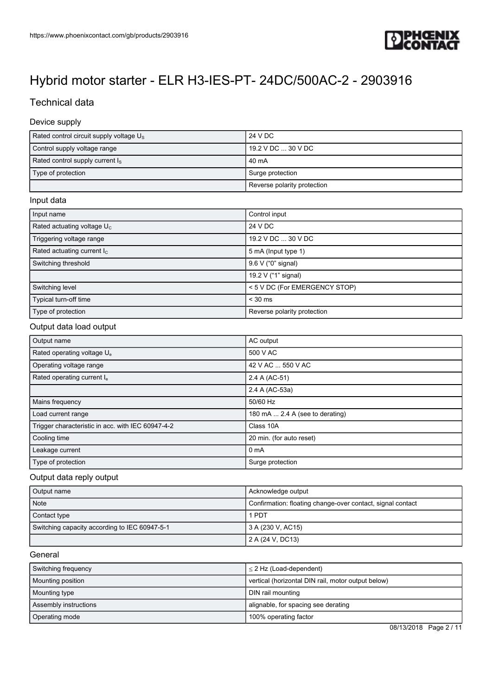

### Technical data

#### Device supply

| Rated control circuit supply voltage $U_s$ | 24 V DC                     |
|--------------------------------------------|-----------------------------|
| Control supply voltage range               | 19.2 V DC  30 V DC          |
| Rated control supply current $I_s$         | . 40 mA                     |
| Type of protection                         | Surge protection            |
|                                            | Reverse polarity protection |

#### Input data

| Input name                    | Control input                 |
|-------------------------------|-------------------------------|
| Rated actuating voltage $U_c$ | 24 V DC                       |
| Triggering voltage range      | 19.2 V DC  30 V DC            |
| Rated actuating current $I_c$ | 5 mA (Input type 1)           |
| Switching threshold           | 9.6 V ("0" signal)            |
|                               | 19.2 V ("1" signal)           |
| Switching level               | < 5 V DC (For EMERGENCY STOP) |
| Typical turn-off time         | $<$ 30 ms                     |
| Type of protection            | Reverse polarity protection   |

#### Output data load output

| Output name                                       | AC output                       |
|---------------------------------------------------|---------------------------------|
| Rated operating voltage U <sub>e</sub>            | 500 V AC                        |
| Operating voltage range                           | 42 V AC  550 V AC               |
| Rated operating current I.                        | 2.4 A (AC-51)                   |
|                                                   | 2.4 A (AC-53a)                  |
| Mains frequency                                   | 50/60 Hz                        |
| Load current range                                | 180 mA  2.4 A (see to derating) |
| Trigger characteristic in acc. with IEC 60947-4-2 | Class 10A                       |
| Cooling time                                      | 20 min. (for auto reset)        |
| Leakage current                                   | 0 <sub>m</sub> A                |
| Type of protection                                | Surge protection                |

#### Output data reply output

| Output name                                   | Acknowledge output                                         |
|-----------------------------------------------|------------------------------------------------------------|
| Note                                          | Confirmation: floating change-over contact, signal contact |
| Contact type                                  | 1 PDT                                                      |
| Switching capacity according to IEC 60947-5-1 | 3 A (230 V, AC15)                                          |
|                                               | 2 A (24 V, DC13)                                           |

#### **General**

| Switching frequency      | $\leq$ 2 Hz (Load-dependent)                       |
|--------------------------|----------------------------------------------------|
| <b>Mounting position</b> | vertical (horizontal DIN rail, motor output below) |
| Mounting type            | DIN rail mounting                                  |
| Assembly instructions    | alignable, for spacing see derating                |
| Operating mode           | 100% operating factor                              |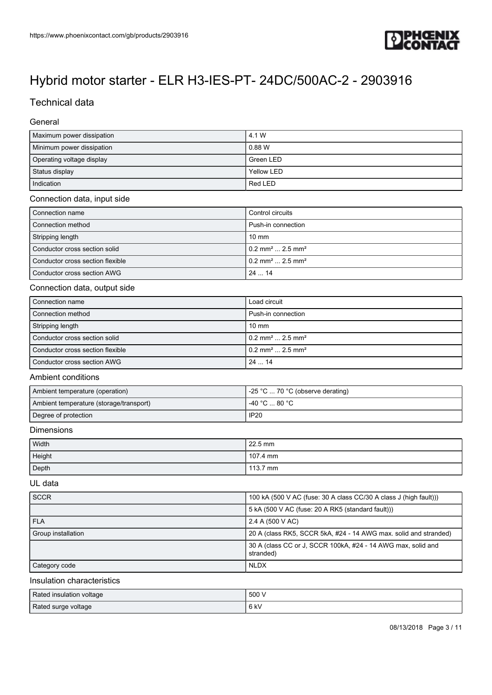

### Technical data

#### General

| Maximum power dissipation | l 4.1 W         |
|---------------------------|-----------------|
| Minimum power dissipation | $\sqrt{0.88}$ W |
| Operating voltage display | l Green LED     |
| Status display            | Yellow LED      |
| Indication                | Red LED         |

#### Connection data, input side

| Connection name                  | Control circuits                           |
|----------------------------------|--------------------------------------------|
| Connection method                | Push-in connection                         |
| Stripping length                 | $10 \text{ mm}$                            |
| Conductor cross section solid    | $10.2$ mm <sup>2</sup> 2.5 mm <sup>2</sup> |
| Conductor cross section flexible | $0.2$ mm <sup>2</sup> 2.5 mm <sup>2</sup>  |
| Conductor cross section AWG      | 2414                                       |

#### Connection data, output side

| l Connection name                | Load circuit                               |
|----------------------------------|--------------------------------------------|
| Connection method                | Push-in connection                         |
| Stripping length                 | $10 \text{ mm}$                            |
| Conductor cross section solid    | $10.2$ mm <sup>2</sup> 2.5 mm <sup>2</sup> |
| Conductor cross section flexible | $10.2$ mm <sup>2</sup> 2.5 mm <sup>2</sup> |
| Conductor cross section AWG      | 2414                                       |

#### Ambient conditions

| Ambient temperature (operation)         | $\sim$ -25 °C  70 °C (observe derating)              |
|-----------------------------------------|------------------------------------------------------|
| Ambient temperature (storage/transport) | $-40\degree$ C $\ldots$ 80 $\degree$ C $\phantom{0}$ |
| Degree of protection                    | IP20                                                 |

#### Dimensions

| Width  | 22.5 mm  |
|--------|----------|
| Height | 107.4 mm |
| Depth  | 113.7 mm |

#### UL data

| <b>SCCR</b>        | 100 kA (500 V AC (fuse: 30 A class CC/30 A class J (high fault)))         |
|--------------------|---------------------------------------------------------------------------|
|                    | 5 kA (500 V AC (fuse: 20 A RK5 (standard fault)))                         |
| <b>FLA</b>         | 2.4 A (500 V AC)                                                          |
| Group installation | 20 A (class RK5, SCCR 5kA, #24 - 14 AWG max, solid and stranded)          |
|                    | 30 A (class CC or J, SCCR 100kA, #24 - 14 AWG max, solid and<br>stranded) |
| Category code      | <b>NLDX</b>                                                               |

#### Insulation characteristics

| Rated insulation voltage | .500' |
|--------------------------|-------|
| Rated surge voltage      | 6 kV  |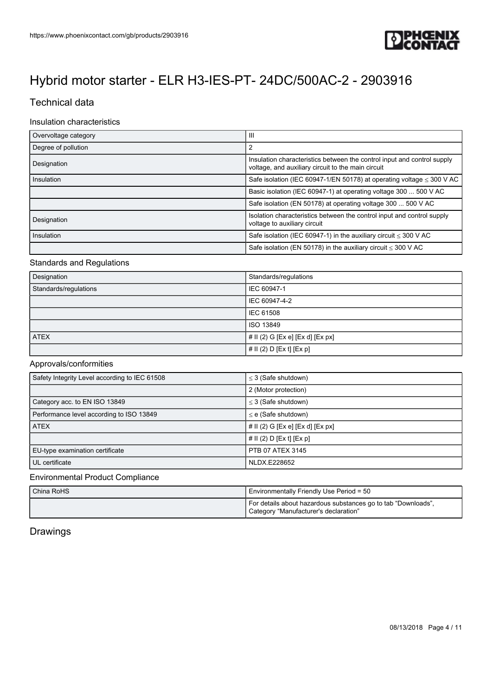

### Technical data

#### Insulation characteristics

| Overvoltage category | Ш                                                                                                                             |
|----------------------|-------------------------------------------------------------------------------------------------------------------------------|
| Degree of pollution  | 2                                                                                                                             |
| Designation          | Insulation characteristics between the control input and control supply<br>voltage, and auxiliary circuit to the main circuit |
| Insulation           | Safe isolation (IEC 60947-1/EN 50178) at operating voltage $\leq$ 300 V AC                                                    |
|                      | Basic isolation (IEC 60947-1) at operating voltage 300  500 V AC                                                              |
|                      | Safe isolation (EN 50178) at operating voltage 300  500 V AC                                                                  |
| Designation          | Isolation characteristics between the control input and control supply<br>voltage to auxiliary circuit                        |
| Insulation           | Safe isolation (IEC 60947-1) in the auxiliary circuit $\leq$ 300 V AC                                                         |
|                      | Safe isolation (EN 50178) in the auxiliary circuit $\leq$ 300 V AC                                                            |

#### Standards and Regulations

| Designation           | Standards/regulations            |
|-----------------------|----------------------------------|
| Standards/regulations | IEC 60947-1                      |
|                       | IEC 60947-4-2                    |
|                       | <b>IEC 61508</b>                 |
|                       | ISO 13849                        |
| <b>ATEX</b>           | # II (2) G [Ex e] [Ex d] [Ex px] |
|                       | # II (2) D [Ex t] [Ex p]         |

### Approvals/conformities

| Safety Integrity Level according to IEC 61508 | $\leq$ 3 (Safe shutdown)            |
|-----------------------------------------------|-------------------------------------|
|                                               | 2 (Motor protection)                |
| Category acc. to EN ISO 13849                 | $\leq$ 3 (Safe shutdown)            |
| Performance level according to ISO 13849      | $\leq$ e (Safe shutdown)            |
| <b>ATEX</b>                                   | $#$ II (2) G [Ex e] [Ex d] [Ex px]  |
|                                               | # $\vert \vert$ (2) D [Ex t] [Ex p] |
| EU-type examination certificate               | PTB 07 ATEX 3145                    |
| UL certificate                                | NLDX.E228652                        |

#### Environmental Product Compliance

| China RoHS | Environmentally Friendly Use Period = 50                                                               |
|------------|--------------------------------------------------------------------------------------------------------|
|            | For details about hazardous substances go to tab "Downloads",<br>Category "Manufacturer's declaration" |

### Drawings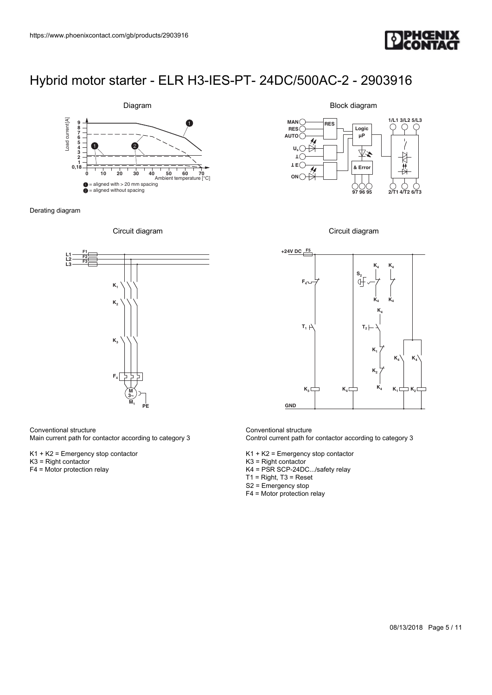



Derating diagram





Conventional structure

Main current path for contactor according to category 3

K1 + K2 = Emergency stop contactor

- K3 = Right contactor
- F4 = Motor protection relay

Block diagram







Conventional structure Control current path for contactor according to category 3

K1 + K2 = Emergency stop contactor

- K3 = Right contactor
- K4 = PSR SCP-24DC.../safety relay

T1 = Right, T3 = Reset

- S2 = Emergency stop
- F4 = Motor protection relay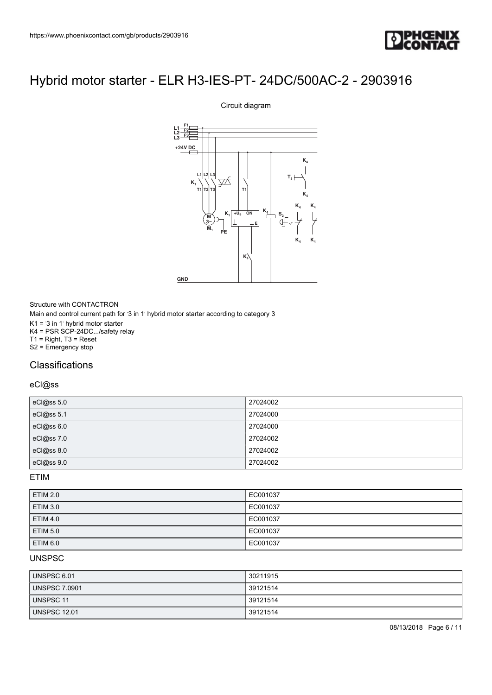

# **M 3**~  $+U_{\rm S}$ **E L1 L2 L3 +24V DC M K K4 K4 K4 K4 K4 T3 K4 K4 <sup>K</sup><sup>4</sup> <sup>S</sup><sup>2</sup> K PE L1 L2 F1 F2 F3 TPHOEN**<br>
3-IES-PT- 24DC/500AC-2 - 2903916<br>
Circuit diagram<br>
analysis of the state of the state of the state of the state of the state of the state of the state of the state of the state of the state of the state of the st **T2 L3 T3 GND**

Circuit diagram

Structure with CONTACTRON Main and control current path for '3 in 1' hybrid motor starter according to category 3  $K1 = 3$  in 1 hybrid motor starter K4 = PSR SCP-24DC.../safety relay T1 = Right, T3 = Reset S2 = Emergency stop

### **Classifications**

#### eCl@ss

| eCl@ss 5.0 | 27024002 |
|------------|----------|
| eCl@ss 5.1 | 27024000 |
| eCl@ss 6.0 | 27024000 |
| eCl@ss 7.0 | 27024002 |
| eCl@ss 8.0 | 27024002 |
| eCl@ss 9.0 | 27024002 |

ETIM

| <b>ETIM 2.0</b> | EC001037 |
|-----------------|----------|
| <b>ETIM 3.0</b> | EC001037 |
| <b>ETIM 4.0</b> | EC001037 |
| <b>ETIM 5.0</b> | EC001037 |
| ETIM 6.0        | EC001037 |

#### UNSPSC

| UNSPSC 6.01          | 30211915 |
|----------------------|----------|
| <b>UNSPSC 7.0901</b> | 39121514 |
| UNSPSC 11            | 39121514 |
| <b>UNSPSC 12.01</b>  | 39121514 |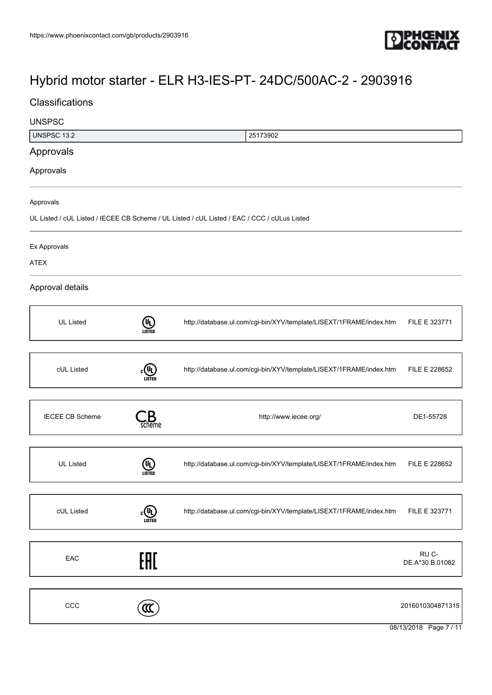

### **Classifications**

# UNSPSC UNSPSC 13.2 25173902 Approvals Approvals Approvals UL Listed / cUL Listed / IECEE CB Scheme / UL Listed / cUL Listed / EAC / CCC / cULus Listed Ex Approvals ATEX Approval details UL Listed **(UL)** <http://database.ul.com/cgi-bin/XYV/template/LISEXT/1FRAME/index.htm> FILE E 323771 cUL Listed  $c$ <sup>U</sup>L) <http://database.ul.com/cgi-bin/XYV/template/LISEXT/1FRAME/index.htm> FILE E 228652 IECEE CB Scheme  $\qquad \qquad \bullet$  Scheme  $\qquad \qquad$  Scheme  $\qquad \qquad$  DE1-55728 UL Listed **UL**<br>Listed Listed <http://database.ul.com/cgi-bin/XYV/template/LISEXT/1FRAME/index.htm> FILE E 228652 cUL Listed  $c$   $\overline{u}$   $\overline{u}$ <http://database.ul.com/cgi-bin/XYV/template/LISEXT/1FRAME/index.htm> FILE E 323771 EAC<sub>e</sub> RU C-DE.A\*30.B.01082  $\text{CC}$  2016010304871315

08/13/2018 Page 7 / 11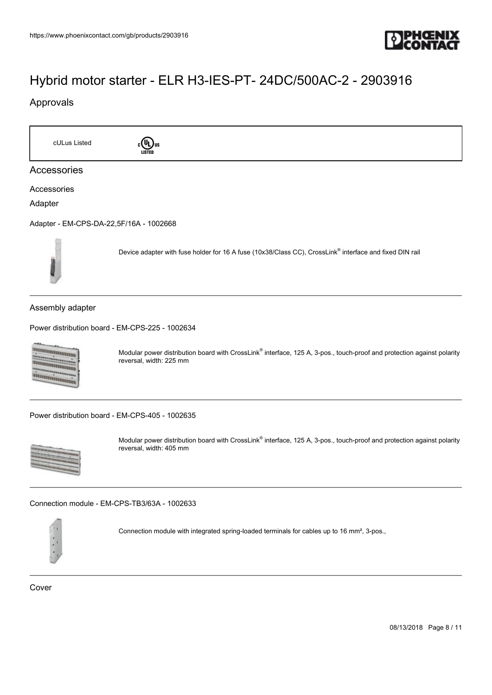

### Approvals

cULus Listed cull us Accessories Accessories Adapter [Adapter - EM-CPS-DA-22,5F/16A - 1002668](https://www.phoenixcontact.com/gb/products/1002668) Device adapter with fuse holder for 16 A fuse (10x38/Class CC), CrossLink® interface and fixed DIN rail Assembly adapter [Power distribution board - EM-CPS-225 - 1002634](https://www.phoenixcontact.com/gb/products/1002634) **Diamontana** Modular power distribution board with CrossLink® interface, 125 A, 3-pos., touch-proof and protection against polarity annammanna reversal, width: 225 mm **TARTAIN DANA** [Power distribution board - EM-CPS-405 - 1002635](https://www.phoenixcontact.com/gb/products/1002635) Modular power distribution board with CrossLink® interface, 125 A, 3-pos., touch-proof and protection against polarity reversal, width: 405 mm [Connection module - EM-CPS-TB3/63A - 1002633](https://www.phoenixcontact.com/gb/products/1002633)



Connection module with integrated spring-loaded terminals for cables up to 16 mm², 3-pos.,

Cover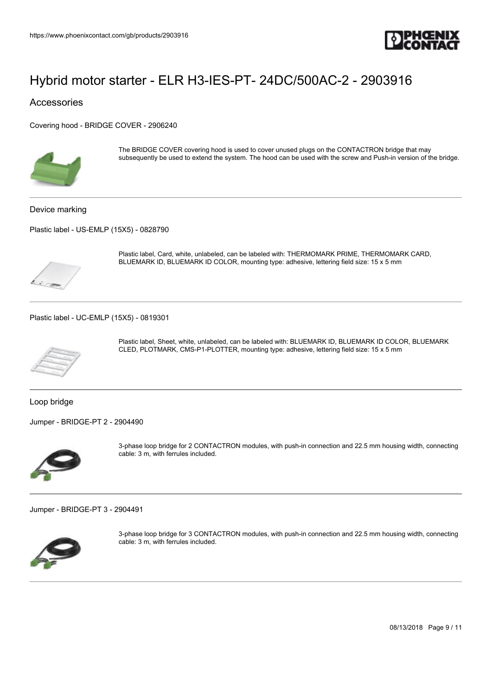

Accessories

[Covering hood - BRIDGE COVER - 2906240](https://www.phoenixcontact.com/gb/products/2906240)



The BRIDGE COVER covering hood is used to cover unused plugs on the CONTACTRON bridge that may subsequently be used to extend the system. The hood can be used with the screw and Push-in version of the bridge.

Device marking

[Plastic label - US-EMLP \(15X5\) - 0828790](https://www.phoenixcontact.com/gb/products/0828790)



Plastic label, Card, white, unlabeled, can be labeled with: THERMOMARK PRIME, THERMOMARK CARD, BLUEMARK ID, BLUEMARK ID COLOR, mounting type: adhesive, lettering field size: 15 x 5 mm

[Plastic label - UC-EMLP \(15X5\) - 0819301](https://www.phoenixcontact.com/gb/products/0819301)



Plastic label, Sheet, white, unlabeled, can be labeled with: BLUEMARK ID, BLUEMARK ID COLOR, BLUEMARK CLED, PLOTMARK, CMS-P1-PLOTTER, mounting type: adhesive, lettering field size: 15 x 5 mm

Loop bridge

[Jumper - BRIDGE-PT 2 - 2904490](https://www.phoenixcontact.com/gb/products/2904490)



3-phase loop bridge for 2 CONTACTRON modules, with push-in connection and 22.5 mm housing width, connecting cable: 3 m, with ferrules included.

[Jumper - BRIDGE-PT 3 - 2904491](https://www.phoenixcontact.com/gb/products/2904491)



3-phase loop bridge for 3 CONTACTRON modules, with push-in connection and 22.5 mm housing width, connecting cable: 3 m, with ferrules included.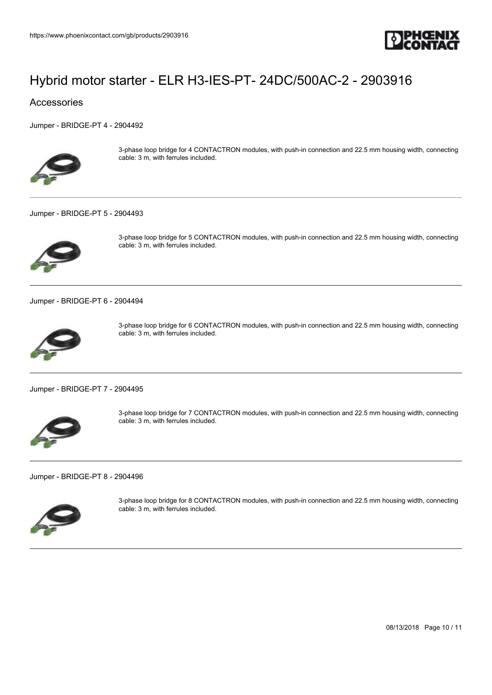

#### Accessories

[Jumper - BRIDGE-PT 4 - 2904492](https://www.phoenixcontact.com/gb/products/2904492)



3-phase loop bridge for 4 CONTACTRON modules, with push-in connection and 22.5 mm housing width, connecting cable: 3 m, with ferrules included.

#### [Jumper - BRIDGE-PT 5 - 2904493](https://www.phoenixcontact.com/gb/products/2904493)



3-phase loop bridge for 5 CONTACTRON modules, with push-in connection and 22.5 mm housing width, connecting cable: 3 m, with ferrules included.

[Jumper - BRIDGE-PT 6 - 2904494](https://www.phoenixcontact.com/gb/products/2904494)



3-phase loop bridge for 6 CONTACTRON modules, with push-in connection and 22.5 mm housing width, connecting cable: 3 m, with ferrules included.

[Jumper - BRIDGE-PT 7 - 2904495](https://www.phoenixcontact.com/gb/products/2904495)



3-phase loop bridge for 7 CONTACTRON modules, with push-in connection and 22.5 mm housing width, connecting cable: 3 m, with ferrules included.

[Jumper - BRIDGE-PT 8 - 2904496](https://www.phoenixcontact.com/gb/products/2904496)



3-phase loop bridge for 8 CONTACTRON modules, with push-in connection and 22.5 mm housing width, connecting cable: 3 m, with ferrules included.